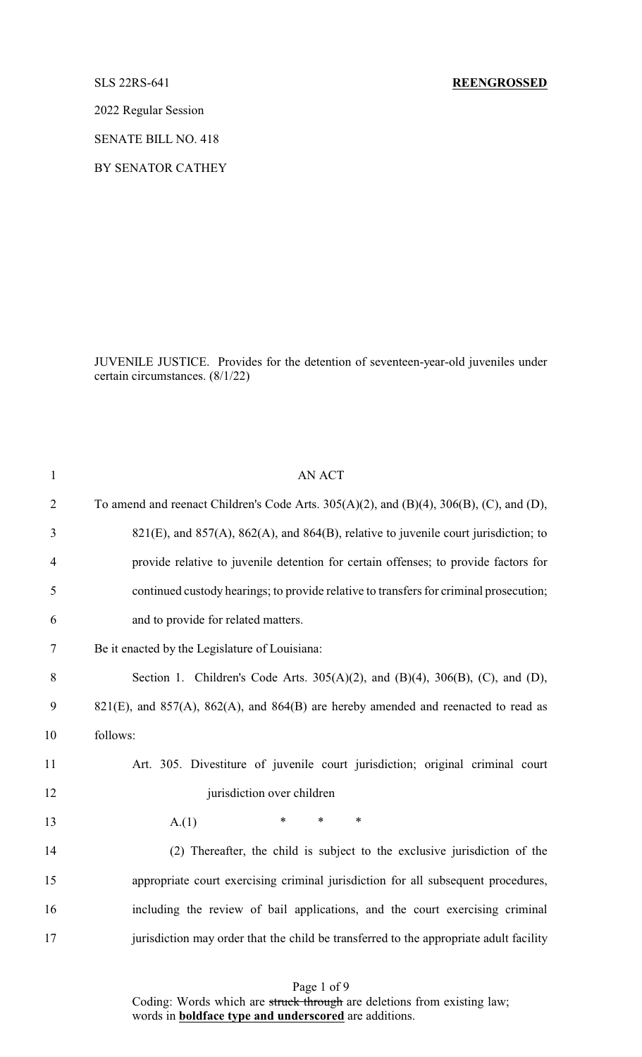2022 Regular Session

SENATE BILL NO. 418

BY SENATOR CATHEY

JUVENILE JUSTICE. Provides for the detention of seventeen-year-old juveniles under certain circumstances. (8/1/22)

| $\mathbf{1}$   | <b>AN ACT</b>                                                                                          |
|----------------|--------------------------------------------------------------------------------------------------------|
| $\overline{2}$ | To amend and reenact Children's Code Arts. $305(A)(2)$ , and $(B)(4)$ , $306(B)$ , $(C)$ , and $(D)$ , |
| 3              | 821(E), and 857(A), 862(A), and 864(B), relative to juvenile court jurisdiction; to                    |
| $\overline{4}$ | provide relative to juvenile detention for certain offenses; to provide factors for                    |
| 5              | continued custody hearings; to provide relative to transfers for criminal prosecution;                 |
| 6              | and to provide for related matters.                                                                    |
| $\tau$         | Be it enacted by the Legislature of Louisiana:                                                         |
| $8\,$          | Section 1. Children's Code Arts. $305(A)(2)$ , and $(B)(4)$ , $306(B)$ , $(C)$ , and $(D)$ ,           |
| 9              | $821(E)$ , and $857(A)$ , $862(A)$ , and $864(B)$ are hereby amended and reenacted to read as          |
| 10             | follows:                                                                                               |
| 11             | Art. 305. Divestiture of juvenile court jurisdiction; original criminal court                          |
| 12             | jurisdiction over children                                                                             |
| 13             | $\ast$<br>$\ast$<br>$\ast$<br>A(1)                                                                     |
| 14             | (2) Thereafter, the child is subject to the exclusive jurisdiction of the                              |
| 15             | appropriate court exercising criminal jurisdiction for all subsequent procedures,                      |
| 16             | including the review of bail applications, and the court exercising criminal                           |
| 17             | jurisdiction may order that the child be transferred to the appropriate adult facility                 |
|                |                                                                                                        |

Page 1 of 9 Coding: Words which are struck through are deletions from existing law; words in **boldface type and underscored** are additions.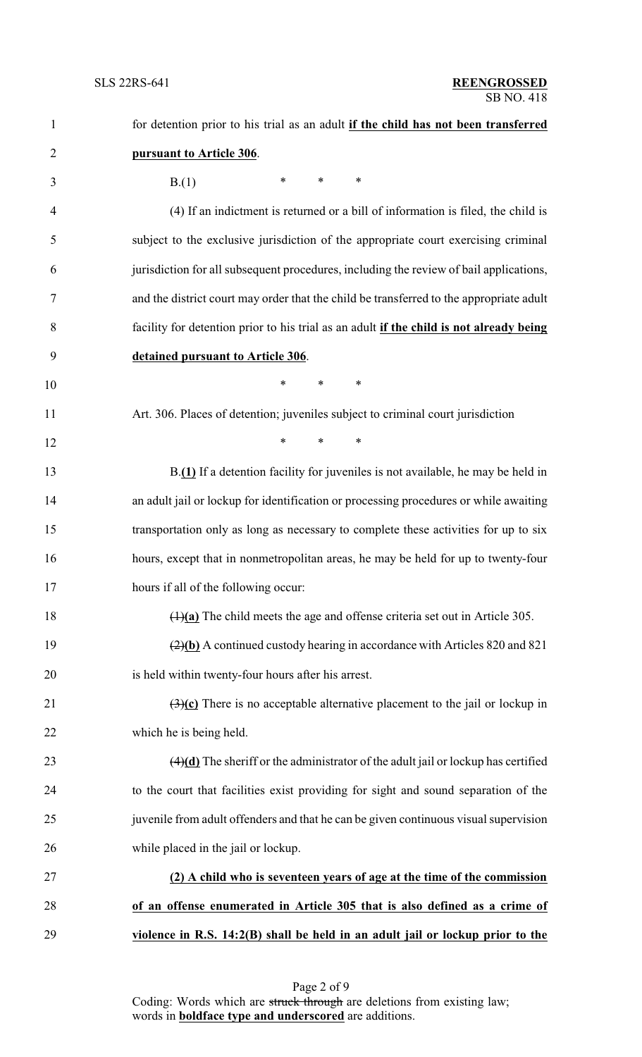| $\mathbf{1}$   | for detention prior to his trial as an adult if the child has not been transferred                 |  |
|----------------|----------------------------------------------------------------------------------------------------|--|
| $\overline{2}$ | pursuant to Article 306.                                                                           |  |
| 3              | $\ast$<br>$\ast$<br>∗<br>B(1)                                                                      |  |
| $\overline{4}$ | (4) If an indictment is returned or a bill of information is filed, the child is                   |  |
| 5              | subject to the exclusive jurisdiction of the appropriate court exercising criminal                 |  |
| 6              | jurisdiction for all subsequent procedures, including the review of bail applications,             |  |
| $\tau$         | and the district court may order that the child be transferred to the appropriate adult            |  |
| 8              | facility for detention prior to his trial as an adult if the child is not already being            |  |
| 9              | detained pursuant to Article 306.                                                                  |  |
| 10             | *<br>$\ast$<br>$\ast$                                                                              |  |
| 11             | Art. 306. Places of detention; juveniles subject to criminal court jurisdiction                    |  |
| 12             | $\ast$<br>$\ast$<br>$\ast$                                                                         |  |
| 13             | B.(1) If a detention facility for juveniles is not available, he may be held in                    |  |
| 14             | an adult jail or lockup for identification or processing procedures or while awaiting              |  |
| 15             | transportation only as long as necessary to complete these activities for up to six                |  |
| 16             | hours, except that in nonmetropolitan areas, he may be held for up to twenty-four                  |  |
| 17             | hours if all of the following occur:                                                               |  |
| 18             | $\frac{(\frac{1}{2})^2}{(1)}$ The child meets the age and offense criteria set out in Article 305. |  |
| 19             | $\left(\frac{2}{b}\right)$ A continued custody hearing in accordance with Articles 820 and 821     |  |
| 20             | is held within twenty-four hours after his arrest.                                                 |  |
| 21             | $\left(\frac{3}{c}\right)$ There is no acceptable alternative placement to the jail or lockup in   |  |
| 22             | which he is being held.                                                                            |  |
| 23             | $\frac{4}{d}$ The sheriff or the administrator of the adult jail or lockup has certified           |  |
| 24             | to the court that facilities exist providing for sight and sound separation of the                 |  |
| 25             | juvenile from adult offenders and that he can be given continuous visual supervision               |  |
| 26             | while placed in the jail or lockup.                                                                |  |
| 27             | (2) A child who is seventeen years of age at the time of the commission                            |  |
| 28             | of an offense enumerated in Article 305 that is also defined as a crime of                         |  |
| 29             | violence in R.S. 14:2(B) shall be held in an adult jail or lockup prior to the                     |  |

Page 2 of 9 Coding: Words which are struck through are deletions from existing law; words in **boldface type and underscored** are additions.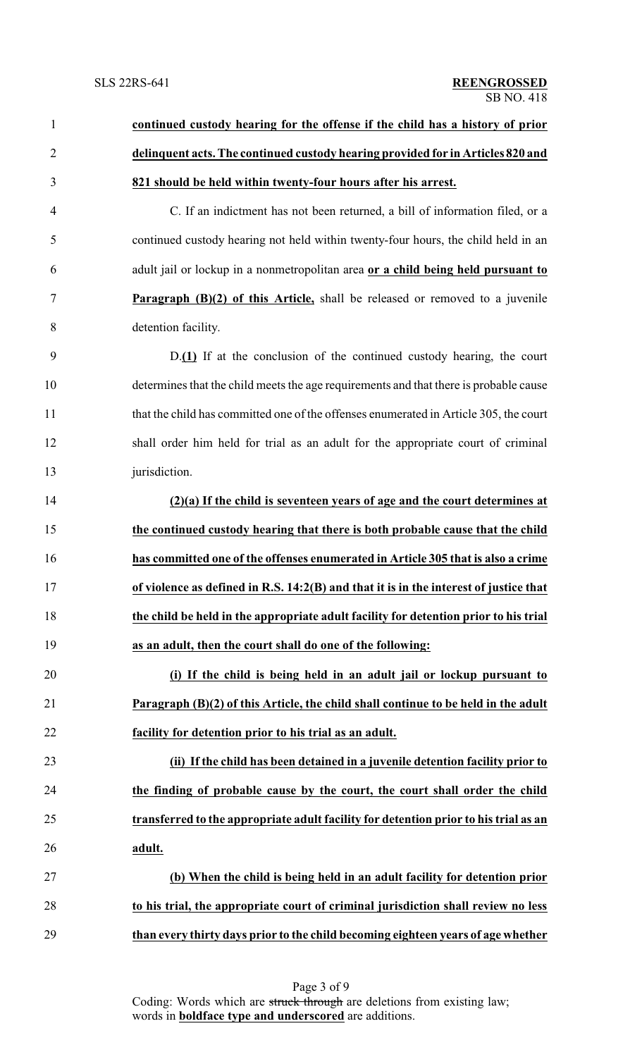| $\mathbf{1}$   | continued custody hearing for the offense if the child has a history of prior         |  |
|----------------|---------------------------------------------------------------------------------------|--|
| $\overline{2}$ | delinquent acts. The continued custody hearing provided for in Articles 820 and       |  |
| 3              | 821 should be held within twenty-four hours after his arrest.                         |  |
| $\overline{4}$ | C. If an indictment has not been returned, a bill of information filed, or a          |  |
| 5              | continued custody hearing not held within twenty-four hours, the child held in an     |  |
| 6              | adult jail or lockup in a nonmetropolitan area or a child being held pursuant to      |  |
| $\overline{7}$ | <b>Paragraph (B)(2) of this Article,</b> shall be released or removed to a juvenile   |  |
| $8\,$          | detention facility.                                                                   |  |
| 9              | D.(1) If at the conclusion of the continued custody hearing, the court                |  |
| 10             | determines that the child meets the age requirements and that there is probable cause |  |
| 11             | that the child has committed one of the offenses enumerated in Article 305, the court |  |
| 12             | shall order him held for trial as an adult for the appropriate court of criminal      |  |
| 13             | jurisdiction.                                                                         |  |
| 14             | $(2)(a)$ If the child is seventeen years of age and the court determines at           |  |
| 15             | the continued custody hearing that there is both probable cause that the child        |  |
| 16             | has committed one of the offenses enumerated in Article 305 that is also a crime      |  |
| 17             | of violence as defined in R.S. 14:2(B) and that it is in the interest of justice that |  |
| 18             | the child be held in the appropriate adult facility for detention prior to his trial  |  |
| 19             | as an adult, then the court shall do one of the following:                            |  |
| 20             | (i) If the child is being held in an adult jail or lockup pursuant to                 |  |
| 21             | Paragraph (B)(2) of this Article, the child shall continue to be held in the adult    |  |
| 22             | facility for detention prior to his trial as an adult.                                |  |
| 23             | (ii) If the child has been detained in a juvenile detention facility prior to         |  |
| 24             | the finding of probable cause by the court, the court shall order the child           |  |
| 25             | transferred to the appropriate adult facility for detention prior to his trial as an  |  |
| 26             | adult.                                                                                |  |
| 27             | (b) When the child is being held in an adult facility for detention prior             |  |
| 28             | to his trial, the appropriate court of criminal jurisdiction shall review no less     |  |
| 29             | than every thirty days prior to the child becoming eighteen years of age whether      |  |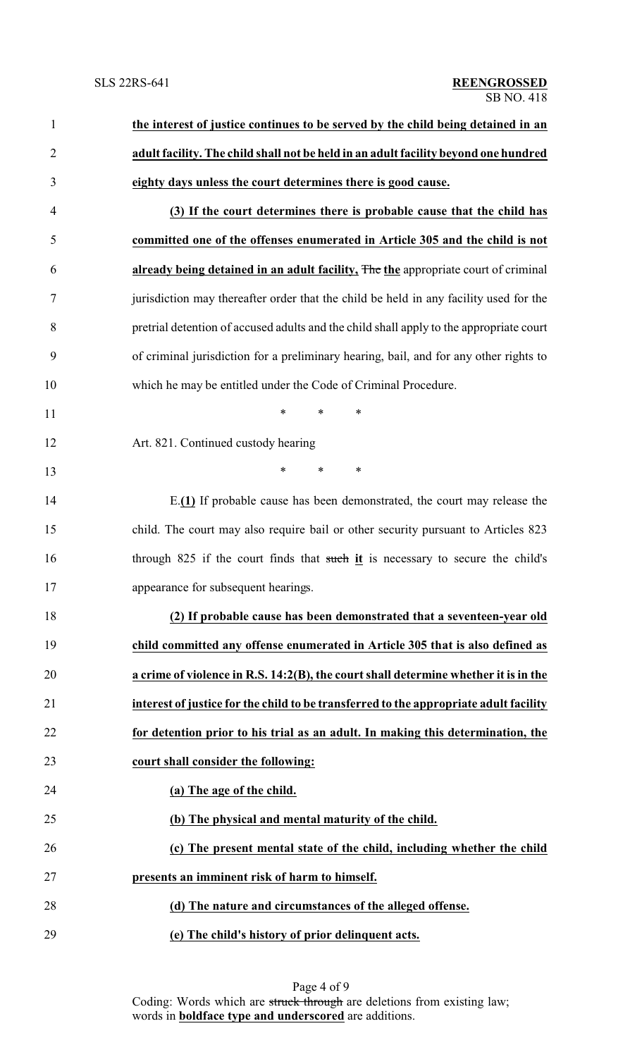| $\mathbf{1}$   | the interest of justice continues to be served by the child being detained in an        |  |  |
|----------------|-----------------------------------------------------------------------------------------|--|--|
| $\overline{c}$ | adult facility. The child shall not be held in an adult facility beyond one hundred     |  |  |
| 3              | eighty days unless the court determines there is good cause.                            |  |  |
| $\overline{4}$ | (3) If the court determines there is probable cause that the child has                  |  |  |
| 5              | committed one of the offenses enumerated in Article 305 and the child is not            |  |  |
| 6              | already being detained in an adult facility, The the appropriate court of criminal      |  |  |
| $\tau$         | jurisdiction may thereafter order that the child be held in any facility used for the   |  |  |
| 8              | pretrial detention of accused adults and the child shall apply to the appropriate court |  |  |
| 9              | of criminal jurisdiction for a preliminary hearing, bail, and for any other rights to   |  |  |
| 10             | which he may be entitled under the Code of Criminal Procedure.                          |  |  |
| 11             | $\ast$<br>$\ast$<br>∗                                                                   |  |  |
| 12             | Art. 821. Continued custody hearing                                                     |  |  |
| 13             | $\ast$<br>$\ast$<br>∗                                                                   |  |  |
| 14             | E.(1) If probable cause has been demonstrated, the court may release the                |  |  |
| 15             | child. The court may also require bail or other security pursuant to Articles 823       |  |  |
| 16             | through 825 if the court finds that such it is necessary to secure the child's          |  |  |
| 17             | appearance for subsequent hearings.                                                     |  |  |
| 18             | (2) If probable cause has been demonstrated that a seventeen-year old                   |  |  |
| 19             | child committed any offense enumerated in Article 305 that is also defined as           |  |  |
| 20             | a crime of violence in R.S. 14:2(B), the court shall determine whether it is in the     |  |  |
| 21             | interest of justice for the child to be transferred to the appropriate adult facility   |  |  |
| 22             | for detention prior to his trial as an adult. In making this determination, the         |  |  |
| 23             | court shall consider the following:                                                     |  |  |
| 24             | (a) The age of the child.                                                               |  |  |
| 25             | (b) The physical and mental maturity of the child.                                      |  |  |
| 26             | (c) The present mental state of the child, including whether the child                  |  |  |
| 27             | presents an imminent risk of harm to himself.                                           |  |  |
| 28             | (d) The nature and circumstances of the alleged offense.                                |  |  |
| 29             | (e) The child's history of prior delinquent acts.                                       |  |  |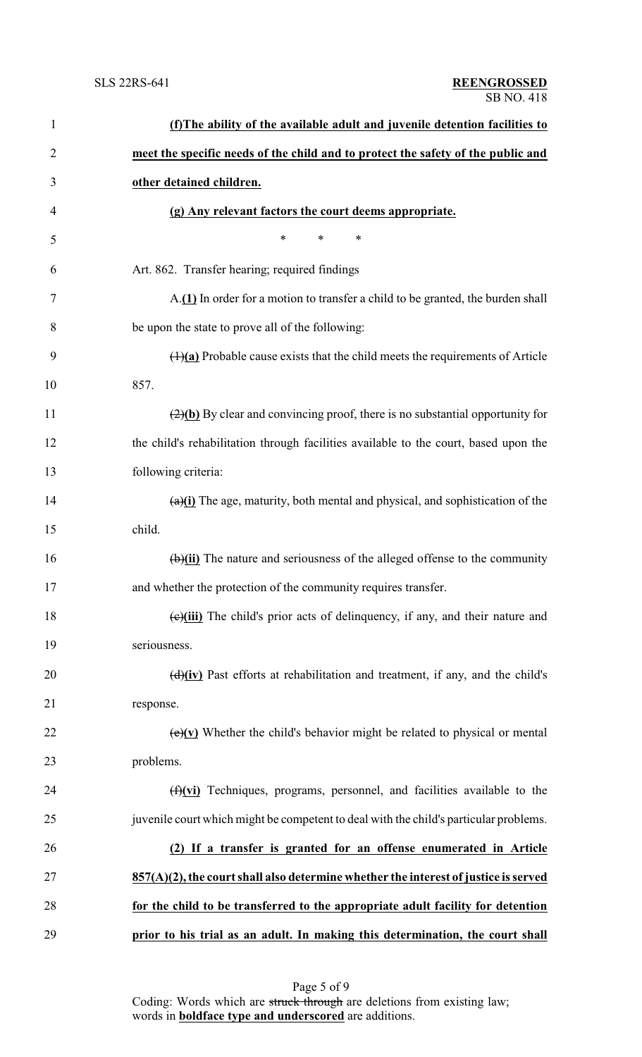| $\mathbf{1}$   | (f) The ability of the available adult and juvenile detention facilities to                       |
|----------------|---------------------------------------------------------------------------------------------------|
| $\overline{2}$ | meet the specific needs of the child and to protect the safety of the public and                  |
| 3              | other detained children.                                                                          |
| 4              | (g) Any relevant factors the court deems appropriate.                                             |
| 5              | $\ast$<br>*<br>∗                                                                                  |
| 6              | Art. 862. Transfer hearing; required findings                                                     |
| 7              | A.(1) In order for a motion to transfer a child to be granted, the burden shall                   |
| 8              | be upon the state to prove all of the following:                                                  |
| 9              | $(1)(a)$ Probable cause exists that the child meets the requirements of Article                   |
| 10             | 857.                                                                                              |
| 11             | $\left(\frac{2}{b}\right)$ By clear and convincing proof, there is no substantial opportunity for |
| 12             | the child's rehabilitation through facilities available to the court, based upon the              |
| 13             | following criteria:                                                                               |
| 14             | $\frac{a}{i}$ The age, maturity, both mental and physical, and sophistication of the              |
| 15             | child.                                                                                            |
| 16             | $\overline{(b)}$ (ii) The nature and seriousness of the alleged offense to the community          |
| 17             | and whether the protection of the community requires transfer.                                    |
| 18             | $\left(\frac{e}{i}\right)$ The child's prior acts of delinquency, if any, and their nature and    |
| 19             | seriousness.                                                                                      |
| 20             | $\frac{d}{dx}$ Past efforts at rehabilitation and treatment, if any, and the child's              |
| 21             | response.                                                                                         |
| 22             | $\overline{(e)}$ (v) Whether the child's behavior might be related to physical or mental          |
| 23             | problems.                                                                                         |
| 24             | $(f)(vi)$ Techniques, programs, personnel, and facilities available to the                        |
| 25             | juvenile court which might be competent to deal with the child's particular problems.             |
| 26             | If a transfer is granted for an offense enumerated in Article<br>(2)                              |
| 27             | $857(A)(2)$ , the court shall also determine whether the interest of justice is served            |
| 28             | for the child to be transferred to the appropriate adult facility for detention                   |
| 29             | prior to his trial as an adult. In making this determination, the court shall                     |
|                |                                                                                                   |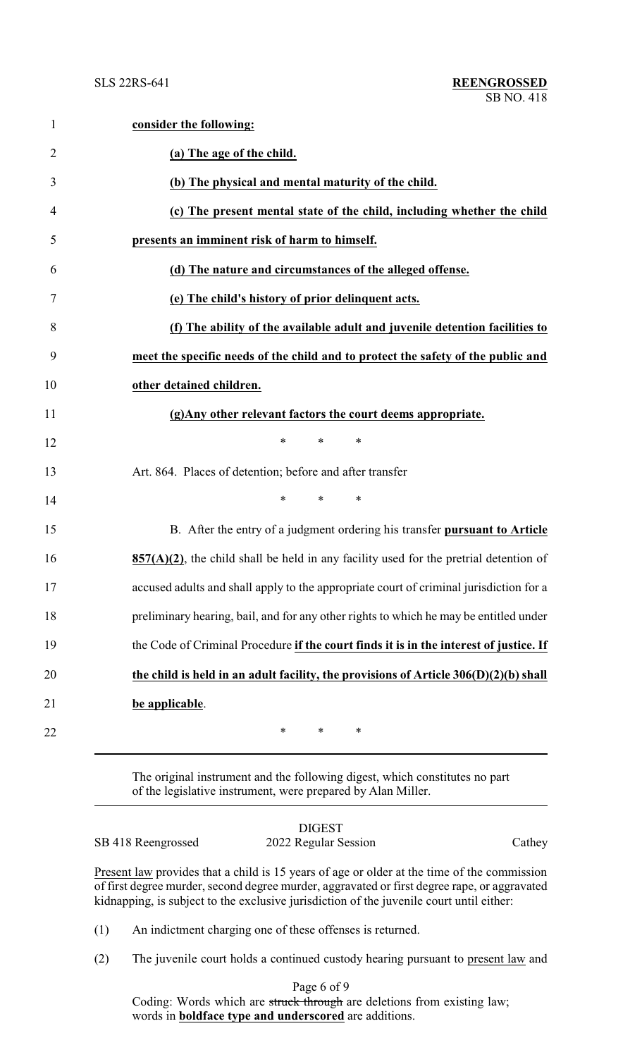| $\mathbf{1}$   | consider the following:                                                                  |
|----------------|------------------------------------------------------------------------------------------|
| $\overline{2}$ | (a) The age of the child.                                                                |
| 3              | (b) The physical and mental maturity of the child.                                       |
| 4              | (c) The present mental state of the child, including whether the child                   |
| 5              | presents an imminent risk of harm to himself.                                            |
| 6              | (d) The nature and circumstances of the alleged offense.                                 |
| 7              | (e) The child's history of prior delinquent acts.                                        |
| 8              | (f) The ability of the available adult and juvenile detention facilities to              |
| 9              | meet the specific needs of the child and to protect the safety of the public and         |
| 10             | other detained children.                                                                 |
| 11             | (g) Any other relevant factors the court deems appropriate.                              |
| 12             | $\ast$<br>*<br>∗                                                                         |
| 13             | Art. 864. Places of detention; before and after transfer                                 |
| 14             | *<br>$\ast$<br>∗                                                                         |
| 15             | B. After the entry of a judgment ordering his transfer pursuant to Article               |
| 16             | $857(A)(2)$ , the child shall be held in any facility used for the pretrial detention of |
| 17             | accused adults and shall apply to the appropriate court of criminal jurisdiction for a   |
| 18             | preliminary hearing, bail, and for any other rights to which he may be entitled under    |
| 19             | the Code of Criminal Procedure if the court finds it is in the interest of justice. If   |
| 20             | the child is held in an adult facility, the provisions of Article 306(D)(2)(b) shall     |
| 21             | be applicable.                                                                           |
| 22             | ∗<br>$\ast$<br>∗                                                                         |

The original instrument and the following digest, which constitutes no part of the legislative instrument, were prepared by Alan Miller.

|                    | <b>DIGEST</b>                                                                                                                                                                                  |        |
|--------------------|------------------------------------------------------------------------------------------------------------------------------------------------------------------------------------------------|--------|
| SB 418 Reengrossed | 2022 Regular Session                                                                                                                                                                           | Cathey |
|                    | Present law provides that a child is 15 years of age or older at the time of the commission<br>af Cart desas constanto escal desas provider es secureto de al Cart desas pero en es secuento d |        |

of first degree murder, second degree murder, aggravated or first degree rape, or aggravated kidnapping, is subject to the exclusive jurisdiction of the juvenile court until either:

(1) An indictment charging one of these offenses is returned.

(2) The juvenile court holds a continued custody hearing pursuant to present law and

Page 6 of 9 Coding: Words which are struck through are deletions from existing law; words in **boldface type and underscored** are additions.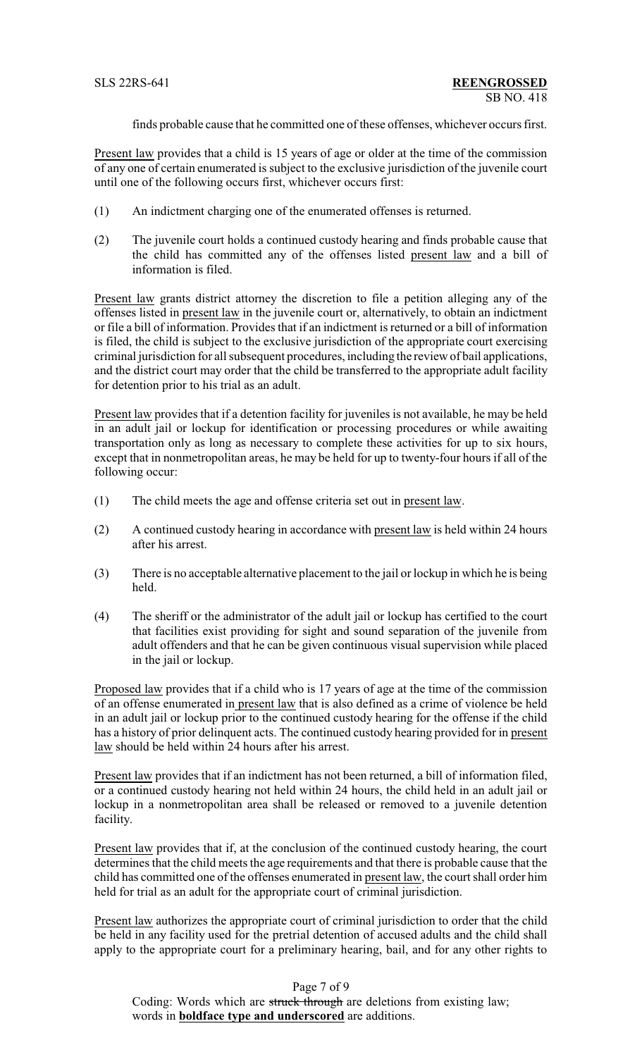finds probable cause that he committed one of these offenses, whichever occurs first.

Present law provides that a child is 15 years of age or older at the time of the commission of any one of certain enumerated is subject to the exclusive jurisdiction of the juvenile court until one of the following occurs first, whichever occurs first:

- (1) An indictment charging one of the enumerated offenses is returned.
- (2) The juvenile court holds a continued custody hearing and finds probable cause that the child has committed any of the offenses listed present law and a bill of information is filed.

Present law grants district attorney the discretion to file a petition alleging any of the offenses listed in present law in the juvenile court or, alternatively, to obtain an indictment or file a bill of information. Provides that if an indictment is returned or a bill of information is filed, the child is subject to the exclusive jurisdiction of the appropriate court exercising criminal jurisdiction for all subsequent procedures, including the review of bail applications, and the district court may order that the child be transferred to the appropriate adult facility for detention prior to his trial as an adult.

Present law provides that if a detention facility for juveniles is not available, he may be held in an adult jail or lockup for identification or processing procedures or while awaiting transportation only as long as necessary to complete these activities for up to six hours, except that in nonmetropolitan areas, he may be held for up to twenty-four hours if all of the following occur:

- (1) The child meets the age and offense criteria set out in present law.
- (2) A continued custody hearing in accordance with present law is held within 24 hours after his arrest.
- (3) There is no acceptable alternative placement to the jail or lockup in which he is being held.
- (4) The sheriff or the administrator of the adult jail or lockup has certified to the court that facilities exist providing for sight and sound separation of the juvenile from adult offenders and that he can be given continuous visual supervision while placed in the jail or lockup.

Proposed law provides that if a child who is 17 years of age at the time of the commission of an offense enumerated in present law that is also defined as a crime of violence be held in an adult jail or lockup prior to the continued custody hearing for the offense if the child has a history of prior delinquent acts. The continued custody hearing provided for in present law should be held within 24 hours after his arrest.

Present law provides that if an indictment has not been returned, a bill of information filed, or a continued custody hearing not held within 24 hours, the child held in an adult jail or lockup in a nonmetropolitan area shall be released or removed to a juvenile detention facility.

Present law provides that if, at the conclusion of the continued custody hearing, the court determines that the child meets the age requirements and that there is probable cause that the child has committed one of the offenses enumerated in present law, the court shall order him held for trial as an adult for the appropriate court of criminal jurisdiction.

Present law authorizes the appropriate court of criminal jurisdiction to order that the child be held in any facility used for the pretrial detention of accused adults and the child shall apply to the appropriate court for a preliminary hearing, bail, and for any other rights to

Page 7 of 9

Coding: Words which are struck through are deletions from existing law; words in **boldface type and underscored** are additions.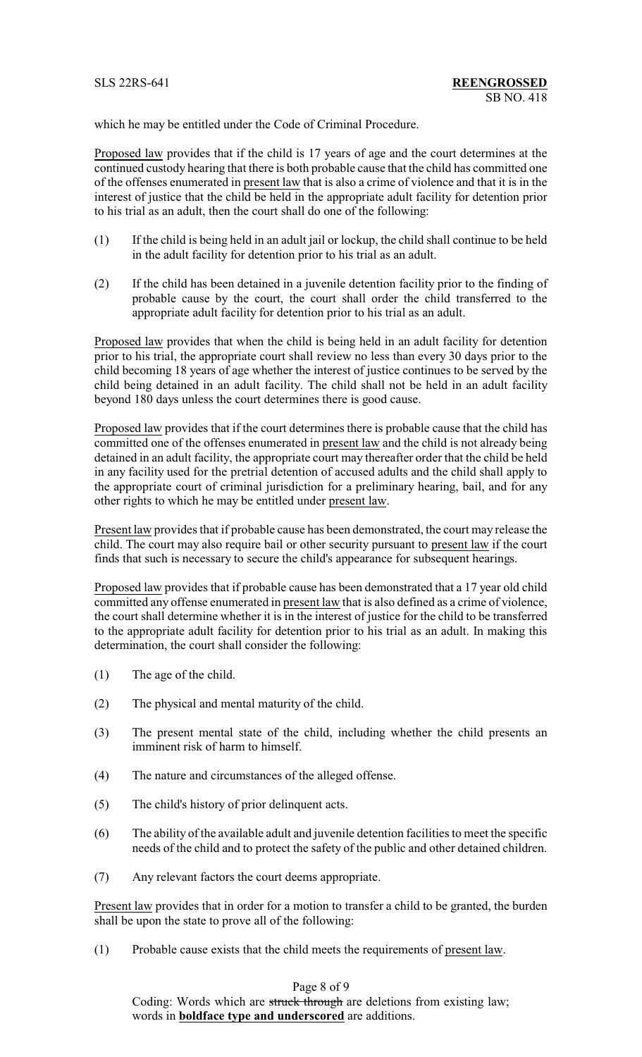which he may be entitled under the Code of Criminal Procedure.

Proposed law provides that if the child is 17 years of age and the court determines at the continued custody hearing that there is both probable cause that the child has committed one of the offenses enumerated in present law that is also a crime of violence and that it is in the interest of justice that the child be held in the appropriate adult facility for detention prior to his trial as an adult, then the court shall do one of the following:

- (1) If the child is being held in an adult jail or lockup, the child shall continue to be held in the adult facility for detention prior to his trial as an adult.
- (2) If the child has been detained in a juvenile detention facility prior to the finding of probable cause by the court, the court shall order the child transferred to the appropriate adult facility for detention prior to his trial as an adult.

Proposed law provides that when the child is being held in an adult facility for detention prior to his trial, the appropriate court shall review no less than every 30 days prior to the child becoming 18 years of age whether the interest of justice continues to be served by the child being detained in an adult facility. The child shall not be held in an adult facility beyond 180 days unless the court determines there is good cause.

Proposed law provides that if the court determines there is probable cause that the child has committed one of the offenses enumerated in present law and the child is not already being detained in an adult facility, the appropriate court may thereafter order that the child be held in any facility used for the pretrial detention of accused adults and the child shall apply to the appropriate court of criminal jurisdiction for a preliminary hearing, bail, and for any other rights to which he may be entitled under present law.

Present law provides that if probable cause has been demonstrated, the court may release the child. The court may also require bail or other security pursuant to present law if the court finds that such is necessary to secure the child's appearance for subsequent hearings.

Proposed law provides that if probable cause has been demonstrated that a 17 year old child committed any offense enumerated in present law that is also defined as a crime of violence, the court shall determine whether it is in the interest of justice for the child to be transferred to the appropriate adult facility for detention prior to his trial as an adult. In making this determination, the court shall consider the following:

- (1) The age of the child.
- (2) The physical and mental maturity of the child.
- (3) The present mental state of the child, including whether the child presents an imminent risk of harm to himself.
- (4) The nature and circumstances of the alleged offense.
- (5) The child's history of prior delinquent acts.
- (6) The ability of the available adult and juvenile detention facilities to meet the specific needs of the child and to protect the safety of the public and other detained children.
- (7) Any relevant factors the court deems appropriate.

Present law provides that in order for a motion to transfer a child to be granted, the burden shall be upon the state to prove all of the following:

(1) Probable cause exists that the child meets the requirements of present law.

## Page 8 of 9

Coding: Words which are struck through are deletions from existing law; words in **boldface type and underscored** are additions.